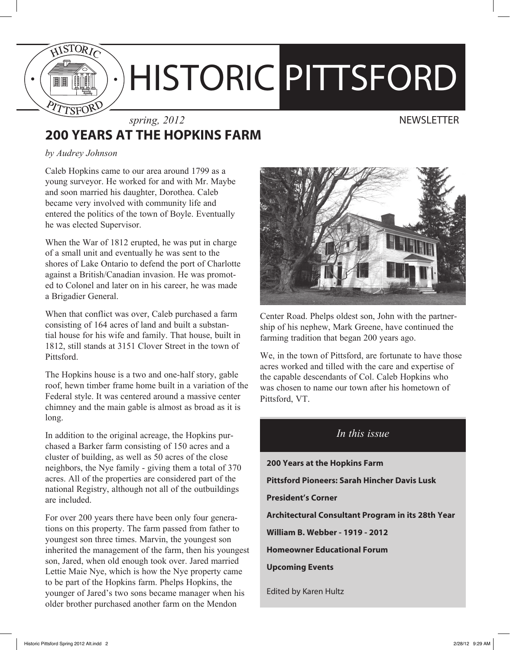

# HISTORIC PITTSFORD

#### *spring, 2012* NEWSLETTER **200 Years at the Hopkins Farm**

#### *by Audrey Johnson*

Caleb Hopkins came to our area around 1799 as a young surveyor. He worked for and with Mr. Maybe and soon married his daughter, Dorothea. Caleb became very involved with community life and entered the politics of the town of Boyle. Eventually he was elected Supervisor.

When the War of 1812 erupted, he was put in charge of a small unit and eventually he was sent to the shores of Lake Ontario to defend the port of Charlotte against a British/Canadian invasion. He was promoted to Colonel and later on in his career, he was made a Brigadier General.

When that conflict was over, Caleb purchased a farm consisting of 164 acres of land and built a substantial house for his wife and family. That house, built in 1812, still stands at 3151 Clover Street in the town of Pittsford.

The Hopkins house is a two and one-half story, gable roof, hewn timber frame home built in a variation of the Federal style. It was centered around a massive center chimney and the main gable is almost as broad as it is long.

In addition to the original acreage, the Hopkins purchased a Barker farm consisting of 150 acres and a cluster of building, as well as 50 acres of the close neighbors, the Nye family - giving them a total of 370 acres. All of the properties are considered part of the national Registry, although not all of the outbuildings are included.

For over 200 years there have been only four generations on this property. The farm passed from father to youngest son three times. Marvin, the youngest son inherited the management of the farm, then his youngest son, Jared, when old enough took over. Jared married Lettie Maie Nye, which is how the Nye property came to be part of the Hopkins farm. Phelps Hopkins, the younger of Jared's two sons became manager when his older brother purchased another farm on the Mendon



Center Road. Phelps oldest son, John with the partnership of his nephew, Mark Greene, have continued the farming tradition that began 200 years ago.

We, in the town of Pittsford, are fortunate to have those acres worked and tilled with the care and expertise of the capable descendants of Col. Caleb Hopkins who was chosen to name our town after his hometown of Pittsford, VT.

#### *In this issue*

**200 Years at the Hopkins Farm Pittsford Pioneers: Sarah Hincher Davis Lusk President's Corner Architectural Consultant Program in its 28th Year William B. Webber - 1919 - 2012 Homeowner Educational Forum Upcoming Events** Edited by Karen Hultz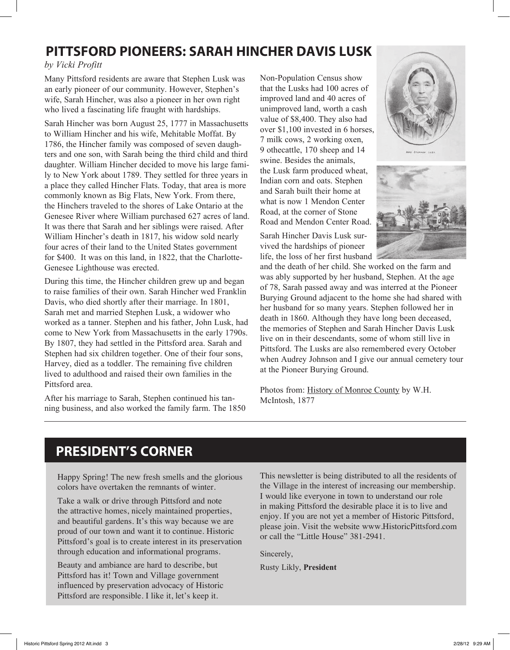# **Pittsford Pioneers: Sarah Hincher Davis Lusk**

*by Vicki Profitt*

Many Pittsford residents are aware that Stephen Lusk was an early pioneer of our community. However, Stephen's wife, Sarah Hincher, was also a pioneer in her own right who lived a fascinating life fraught with hardships.

Sarah Hincher was born August 25, 1777 in Massachusetts to William Hincher and his wife, Mehitable Moffat. By 1786, the Hincher family was composed of seven daughters and one son, with Sarah being the third child and third daughter. William Hincher decided to move his large family to New York about 1789. They settled for three years in a place they called Hincher Flats. Today, that area is more commonly known as Big Flats, New York. From there, the Hinchers traveled to the shores of Lake Ontario at the Genesee River where William purchased 627 acres of land. It was there that Sarah and her siblings were raised. After William Hincher's death in 1817, his widow sold nearly four acres of their land to the United States government for \$400. It was on this land, in 1822, that the Charlotte-Genesee Lighthouse was erected.

During this time, the Hincher children grew up and began to raise families of their own. Sarah Hincher wed Franklin Davis, who died shortly after their marriage. In 1801, Sarah met and married Stephen Lusk, a widower who worked as a tanner. Stephen and his father, John Lusk, had come to New York from Massachusetts in the early 1790s. By 1807, they had settled in the Pittsford area. Sarah and Stephen had six children together. One of their four sons, Harvey, died as a toddler. The remaining five children lived to adulthood and raised their own families in the Pittsford area.

After his marriage to Sarah, Stephen continued his tanning business, and also worked the family farm. The 1850 Non-Population Census show that the Lusks had 100 acres of improved land and 40 acres of unimproved land, worth a cash value of \$8,400. They also had over \$1,100 invested in 6 horses, 7 milk cows, 2 working oxen, 9 othecattle, 170 sheep and 14 swine. Besides the animals, the Lusk farm produced wheat, Indian corn and oats. Stephen and Sarah built their home at what is now 1 Mendon Center Road, at the corner of Stone Road and Mendon Center Road.

Sarah Hincher Davis Lusk survived the hardships of pioneer life, the loss of her first husband





and the death of her child. She worked on the farm and was ably supported by her husband, Stephen. At the age of 78, Sarah passed away and was interred at the Pioneer Burying Ground adjacent to the home she had shared with her husband for so many years. Stephen followed her in death in 1860. Although they have long been deceased, the memories of Stephen and Sarah Hincher Davis Lusk live on in their descendants, some of whom still live in Pittsford. The Lusks are also remembered every October when Audrey Johnson and I give our annual cemetery tour at the Pioneer Burying Ground.

Photos from: History of Monroe County by W.H. McIntosh, 1877

## **PRESIDENT'S CORNER**

Happy Spring! The new fresh smells and the glorious colors have overtaken the remnants of winter.

Take a walk or drive through Pittsford and note the attractive homes, nicely maintained properties, and beautiful gardens. It's this way because we are proud of our town and want it to continue. Historic Pittsford's goal is to create interest in its preservation through education and informational programs.

Beauty and ambiance are hard to describe, but Pittsford has it! Town and Village government influenced by preservation advocacy of Historic Pittsford are responsible. I like it, let's keep it.

This newsletter is being distributed to all the residents of the Village in the interest of increasing our membership. I would like everyone in town to understand our role in making Pittsford the desirable place it is to live and enjoy. If you are not yet a member of Historic Pittsford, please join. Visit the website www.HistoricPittsford.com or call the "Little House" 381-2941.

Sincerely,

Rusty Likly, **President**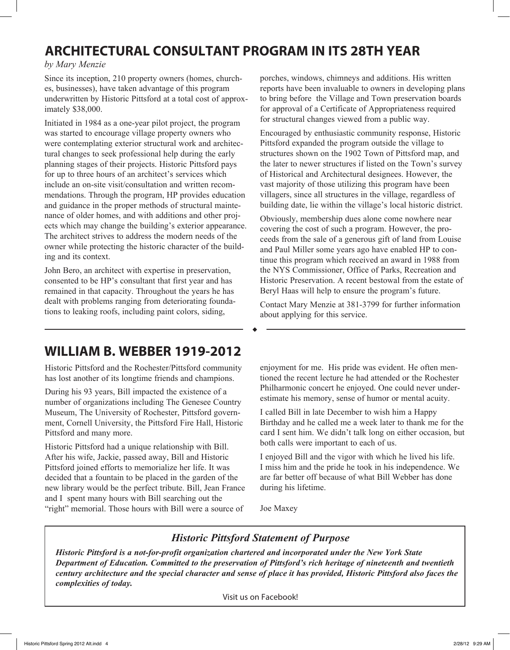# **ARCHITECTURAL CONSULTANT PROGRAM IN ITS 28th YEAR**

*by Mary Menzie*

Since its inception, 210 property owners (homes, churches, businesses), have taken advantage of this program underwritten by Historic Pittsford at a total cost of approximately \$38,000.

Initiated in 1984 as a one-year pilot project, the program was started to encourage village property owners who were contemplating exterior structural work and architectural changes to seek professional help during the early planning stages of their projects. Historic Pittsford pays for up to three hours of an architect's services which include an on-site visit/consultation and written recommendations. Through the program, HP provides education and guidance in the proper methods of structural maintenance of older homes, and with additions and other projects which may change the building's exterior appearance. The architect strives to address the modern needs of the owner while protecting the historic character of the building and its context.

John Bero, an architect with expertise in preservation, consented to be HP's consultant that first year and has remained in that capacity. Throughout the years he has dealt with problems ranging from deteriorating foundations to leaking roofs, including paint colors, siding,

porches, windows, chimneys and additions. His written reports have been invaluable to owners in developing plans to bring before the Village and Town preservation boards for approval of a Certificate of Appropriateness required for structural changes viewed from a public way.

Encouraged by enthusiastic community response, Historic Pittsford expanded the program outside the village to structures shown on the 1902 Town of Pittsford map, and the later to newer structures if listed on the Town's survey of Historical and Architectural designees. However, the vast majority of those utilizing this program have been villagers, since all structures in the village, regardless of building date, lie within the village's local historic district.

Obviously, membership dues alone come nowhere near covering the cost of such a program. However, the proceeds from the sale of a generous gift of land from Louise and Paul Miller some years ago have enabled HP to continue this program which received an award in 1988 from the NYS Commissioner, Office of Parks, Recreation and Historic Preservation. A recent bestowal from the estate of Beryl Haas will help to ensure the program's future.

Contact Mary Menzie at 381-3799 for further information about applying for this service.

# **William B. Webber 1919-2012**

Historic Pittsford and the Rochester/Pittsford community has lost another of its longtime friends and champions.

During his 93 years, Bill impacted the existence of a number of organizations including The Genesee Country Museum, The University of Rochester, Pittsford government, Cornell University, the Pittsford Fire Hall, Historic Pittsford and many more.

Historic Pittsford had a unique relationship with Bill. After his wife, Jackie, passed away, Bill and Historic Pittsford joined efforts to memorialize her life. It was decided that a fountain to be placed in the garden of the new library would be the perfect tribute. Bill, Jean France and I spent many hours with Bill searching out the "right" memorial. Those hours with Bill were a source of enjoyment for me. His pride was evident. He often mentioned the recent lecture he had attended or the Rochester Philharmonic concert he enjoyed. One could never underestimate his memory, sense of humor or mental acuity.

I called Bill in late December to wish him a Happy Birthday and he called me a week later to thank me for the card I sent him. We didn't talk long on either occasion, but both calls were important to each of us.

I enjoyed Bill and the vigor with which he lived his life. I miss him and the pride he took in his independence. We are far better off because of what Bill Webber has done during his lifetime.

Joe Maxey

#### *Historic Pittsford Statement of Purpose*

*Historic Pittsford is a not-for-profit organization chartered and incorporated under the New York State Department of Education. Committed to the preservation of Pittsford's rich heritage of nineteenth and twentieth century architecture and the special character and sense of place it has provided, Historic Pittsford also faces the complexities of today.*

Visit us on Facebook!